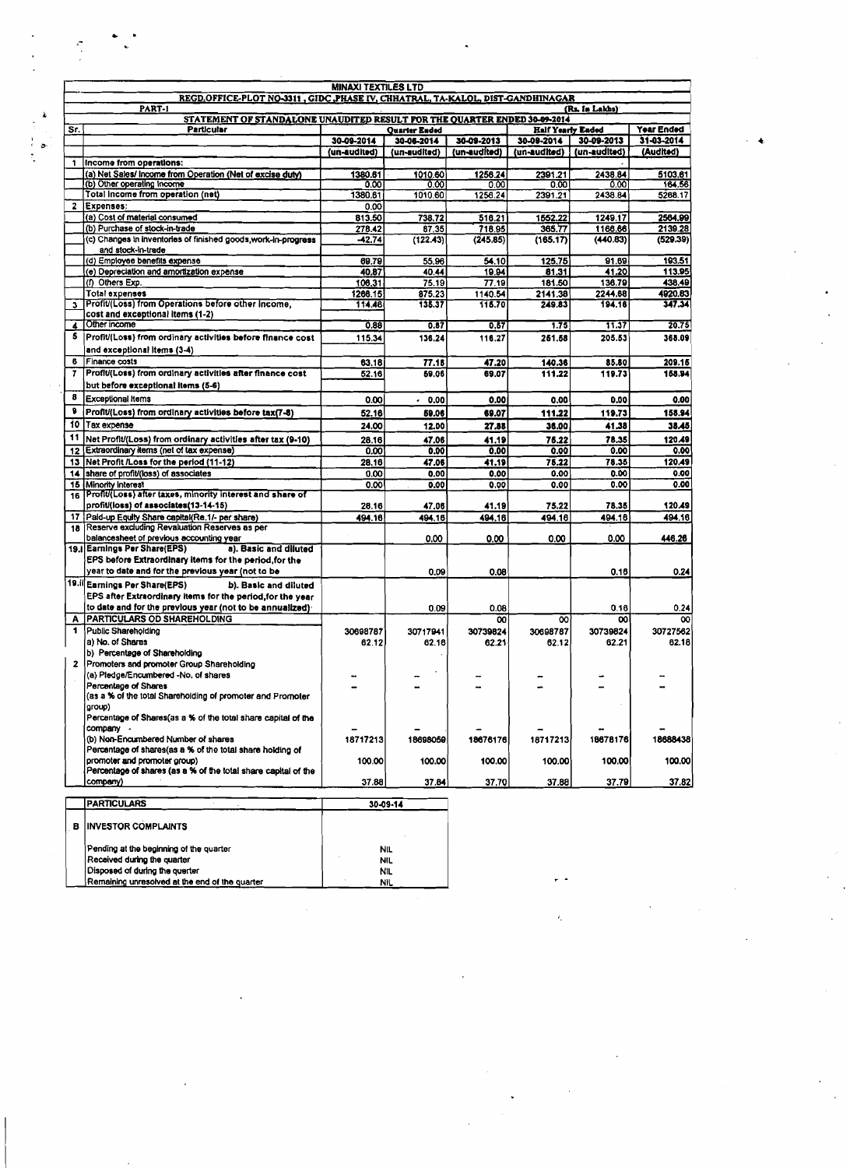| <b>MINAXI TEXTILES LTD</b>                                                     |                                                                                                 |                                                                           |                      |                |                   |                 |                   |  |  |
|--------------------------------------------------------------------------------|-------------------------------------------------------------------------------------------------|---------------------------------------------------------------------------|----------------------|----------------|-------------------|-----------------|-------------------|--|--|
| REGD.OFFICE-PLOT NO-3311, GIDC, PHASE IV, CHHATRAL, TA-KALOL, DIST-GANDHINAGAR |                                                                                                 |                                                                           |                      |                |                   |                 |                   |  |  |
|                                                                                | PART-1                                                                                          | STATEMENT OF STANDALONE UNAUDITED RESULT FOR THE QUARTER ENDED 30-09-2014 |                      |                | (Rs. In Lakhs)    |                 |                   |  |  |
| Sr.                                                                            | <b>Particular</b>                                                                               |                                                                           | <b>Quarter Ended</b> |                | Half Yearly Eaded |                 | Year Ended        |  |  |
|                                                                                |                                                                                                 | 30-09-2014                                                                | 30-06-2014           | 30-09-2013     | 30-09-2014        | 30-09-2013      | 31-03-2014        |  |  |
|                                                                                |                                                                                                 | (un-audited)                                                              | (un-audited)         | (un-audited)   | (un-audited)      | (un-audited)    | (Audited)         |  |  |
| 1.                                                                             | Income from operations:                                                                         |                                                                           |                      |                |                   |                 |                   |  |  |
|                                                                                | (a) Net Sales/ Income from Operation (Net of excise duty)                                       | 1380.61                                                                   | 1010.60              | 1256.24        | 2391.21           | 2438.84         | 5103.61           |  |  |
|                                                                                | (b) Other operating income<br>Total income from operation (net)                                 | 0.00<br>1380.61                                                           | 0.00<br>1010.60      | 0.00           | 0.00              | 0.00<br>2438.84 | 164.56<br>5268.17 |  |  |
| $\mathbf{z}$                                                                   | Expenses:                                                                                       | 0.00                                                                      |                      | 1256.24        | 2391.21           |                 |                   |  |  |
|                                                                                | (a) Cost of material consumed                                                                   | 813.50                                                                    | 738.72               | 516.21         | 1552.22           | 1249.17         | 2564.99           |  |  |
|                                                                                | (b) Purchase of stock-in-trade                                                                  | 278.42                                                                    | 87.35                | 718.95         | 365.77            | 1166.66         | 2139.28           |  |  |
|                                                                                | (c) Changes in inventories of finished goods, work-in-progress                                  | -42.74                                                                    | (122.43)             | (245.85)       | (165.17)          | (440.83)        | (529.39)          |  |  |
|                                                                                | and stock-in-trade                                                                              |                                                                           |                      |                |                   |                 |                   |  |  |
|                                                                                | (d) Employee benefits expense                                                                   | 69.79                                                                     | 55.96                | 54.10          | 125.75            | 91.69<br>41.20  | 193.51<br>113.95  |  |  |
|                                                                                | (e) Depreciation and amortization expense<br>(f) Others Exp.                                    | 40.87<br>106.31                                                           | 40.44<br>75.19       | 19.94<br>77.19 | 81.31<br>181.50   | 136.79          | 438.49            |  |  |
|                                                                                | <b>Total expenses</b>                                                                           | 1266.15                                                                   | 875.23               | 1140.54        | 2141.38           | 2244.68         | 4920.83           |  |  |
| 3                                                                              | Profit/(Loss) from Operations before other income,                                              | 114.46                                                                    | 135.37               | 115.70         | 249.83            | 194.16          | 347.34            |  |  |
|                                                                                | cost and exceptional items (1-2)                                                                |                                                                           |                      |                |                   |                 |                   |  |  |
| 4                                                                              | Other income                                                                                    | 0.88                                                                      | 0.87                 | 0.57           | 1.75              | 11.37           | 20.75             |  |  |
| 5.                                                                             | Profit/(Loss) from ordinary activities before finance cost                                      | 115.34                                                                    | 136.24               | 116.27         | 261,58            | 205.53          | 368.09            |  |  |
|                                                                                | and exceptional items (3-4)                                                                     |                                                                           |                      |                |                   |                 |                   |  |  |
| 6                                                                              | Finance costs                                                                                   | 63.18                                                                     | 77.18                | 47.20          | 140.36            | 85.80           | 209.15            |  |  |
| 7                                                                              | Profit/(Loss) from ordinary activities after finance cost                                       | 52.16                                                                     | 69.06                | 69.07          | 111.22            | 119.73          | 158.94            |  |  |
|                                                                                | but before exceptional items (5-6)                                                              |                                                                           |                      |                |                   |                 |                   |  |  |
| 8                                                                              | <b>Exceptional Items</b>                                                                        | 0.00                                                                      | 0.00                 | 0.00           | 0.00              | 0.00            | 0.00              |  |  |
| 8                                                                              | Profit/(Loss) from ordinary activities before tax(7-8)                                          | 52.16                                                                     | 59.06                | 69.07          | 111.22            | 119.73          | 158.94            |  |  |
|                                                                                | 10 Tax expense                                                                                  | 24.00                                                                     | 12.00                | 27,88          | 36.00             | 41.38           | 38.45             |  |  |
| 11                                                                             | Net Profit/(Loss) from ordinary activities after tax (9-10)                                     | 28.16                                                                     | 47.06                | 41.19          | 75.22             | 78.35           | 120.49            |  |  |
|                                                                                | 12 Extraordinary items (net of tax expense)                                                     | 0.00                                                                      | 0.00                 | 0.00           | 0.00              | 0,00            | 0.00              |  |  |
|                                                                                | 13 Net Profit /Loss for the period (11-12)                                                      | 28.16                                                                     | 47.06                | 41.19          | 75.22             | 78.35           | 120.49            |  |  |
|                                                                                | 14 share of profit/(loss) of associates                                                         | 0.00                                                                      | 0.00                 | 0.00           | 0.00              | 0.00            | 0.00              |  |  |
|                                                                                | 15 Minority interest<br>Profit/(Loss) after taxes, minority interest and share of               | 0.00                                                                      | 0.00                 | 0.00           | 0.00              | 0.00            | 0.00              |  |  |
| 16                                                                             | profit/(loss) of associates(13-14-15)                                                           | 28.16                                                                     | 47.06                | 41.19          | 75.22             | 78.35           | 120.49            |  |  |
|                                                                                | 17 Paid-up Equity Share capital(Re.1/- per share)                                               | 494.16                                                                    | 494.16               | 494.16         | 494.16            | 494.18          | 494.16            |  |  |
| 18 <sup>1</sup>                                                                | Reserve excluding Revaluation Reserves as per                                                   |                                                                           |                      |                |                   |                 |                   |  |  |
|                                                                                | balancesheet of previous accounting year                                                        |                                                                           | 0.00                 | 0.00           | 0.00              | 0.00            | 446.26            |  |  |
|                                                                                | 19. Earnings Per Share(EPS)<br>a). Basic and diluted                                            |                                                                           |                      |                |                   |                 |                   |  |  |
|                                                                                | EPS before Extraordinary items for the period, for the                                          |                                                                           |                      |                |                   |                 |                   |  |  |
|                                                                                | year to date and for the previous year (not to be                                               |                                                                           | 0.09                 | 0.08           |                   | 0.16            | 0.24              |  |  |
|                                                                                | 19.il Earnings Per Share(EPS)<br>b). Basic and diluted                                          |                                                                           |                      |                |                   |                 |                   |  |  |
|                                                                                | EPS after Extraordinary items for the period, for the year                                      |                                                                           |                      |                |                   |                 |                   |  |  |
| A                                                                              | to date and for the previous year (not to be annualized).<br><b>PARTICULARS OD SHAREHOLDING</b> |                                                                           | 0.09                 | 0.08<br>OO     | 00                | 0.16<br>00      | 0.24<br>$^{00}$   |  |  |
| 1                                                                              | Public Shareholding                                                                             | 30698787                                                                  | 30717941             | 30739824       | 30698787          | 30739824        | 30727562          |  |  |
|                                                                                | a) No. of Shares                                                                                | 62.12                                                                     | 82.16                | 62.21          | 62.12             | 62.21           | 62.18             |  |  |
|                                                                                | b) Percentage of Shareholding                                                                   |                                                                           |                      |                |                   |                 |                   |  |  |
| 2                                                                              | Promoters and promoter Group Shareholding                                                       |                                                                           |                      |                |                   |                 |                   |  |  |
|                                                                                | (a) Pledge/Encumbered -No. of shares                                                            |                                                                           |                      |                |                   |                 |                   |  |  |
|                                                                                | Percentage of Shares                                                                            |                                                                           |                      |                |                   |                 |                   |  |  |
|                                                                                | (as a % of the total Shareholding of promoter and Promoter<br>group)                            |                                                                           |                      |                |                   |                 |                   |  |  |
|                                                                                | Percentage of Shares(as a % of the total share capital of the                                   |                                                                           |                      |                |                   |                 |                   |  |  |
|                                                                                | company -                                                                                       |                                                                           |                      |                |                   |                 |                   |  |  |
|                                                                                | (b) Non-Encumbered Number of shares                                                             | 18717213                                                                  | 18698059             | 18676176       | 18717213          | 18678176        | 18688438          |  |  |
|                                                                                | Percentage of shares(as a % of the total share holding of                                       |                                                                           |                      |                |                   |                 |                   |  |  |
|                                                                                | promoter and promoter group)                                                                    | 100.00                                                                    | 100.00               | 100.00         | 100.00            | 100.00          | 100.00            |  |  |
|                                                                                | Percentage of shares (as a % of the total share capital of the<br>company)                      | 37.88                                                                     | 37.84                | 37.70          | 37.88             | 37.79           | 37.82             |  |  |
|                                                                                |                                                                                                 |                                                                           |                      |                |                   |                 |                   |  |  |
|                                                                                | <b>PARTICULARS</b><br>30-09-14                                                                  |                                                                           |                      |                |                   |                 |                   |  |  |
|                                                                                |                                                                                                 |                                                                           |                      |                |                   |                 |                   |  |  |
| в                                                                              | <b>INVESTOR COMPLAINTS</b>                                                                      |                                                                           |                      |                |                   |                 |                   |  |  |
|                                                                                |                                                                                                 |                                                                           |                      |                |                   |                 |                   |  |  |
|                                                                                | Pending at the beginning of the quarter                                                         |                                                                           | <b>NIL</b>           |                |                   |                 |                   |  |  |
|                                                                                | Received during the quarter<br>Disposed of during the querter                                   |                                                                           | NIL<br>NIL           |                |                   |                 |                   |  |  |
|                                                                                | Remaining unresolved at the end of the quarter                                                  |                                                                           | NIL.                 |                |                   |                 |                   |  |  |
|                                                                                |                                                                                                 |                                                                           |                      |                |                   |                 |                   |  |  |

 $\frac{1}{2}$ 

 $\ddot{ }$ 

 $\mathbf{r}$ 

 $\mathbf{r}$ 

 $\ddot{\bullet}$